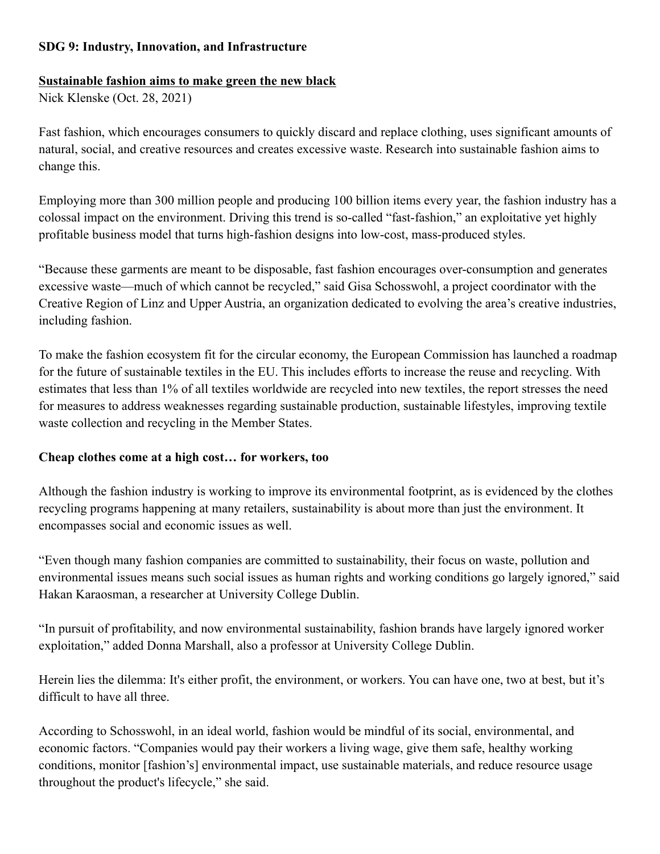## **SDG 9: Industry, Innovation, and Infrastructure**

#### **Sustainable fashion aims to make green the new black**

Nick Klenske (Oct. 28, 2021)

Fast fashion, which encourages consumers to quickly discard and replace clothing, uses significant amounts of natural, social, and creative resources and creates excessive waste. Research into sustainable fashion aims to change this.

Employing more than 300 million people and producing 100 billion items every year, the fashion industry has a colossal impact on the environment. Driving this trend is so-called "fast-fashion," an exploitative yet highly profitable business model that turns high-fashion designs into low-cost, mass-produced styles.

"Because these garments are meant to be disposable, fast fashion encourages over-consumption and generates excessive waste—much of which cannot be recycled," said Gisa Schosswohl, a project coordinator with the Creative Region of Linz and Upper Austria, an organization dedicated to evolving the area's creative industries, including fashion.

To make the fashion ecosystem fit for the circular economy, the European Commission has launched a roadmap for the future of sustainable textiles in the EU. This includes efforts to increase the reuse and recycling. With estimates that less than 1% of all textiles worldwide are recycled into new textiles, the report stresses the need for measures to address weaknesses regarding sustainable production, sustainable lifestyles, improving textile waste collection and recycling in the Member States.

### **Cheap clothes come at a high cost… for workers, too**

Although the fashion industry is working to improve its environmental footprint, as is evidenced by the clothes recycling programs happening at many retailers, sustainability is about more than just the environment. It encompasses social and economic issues as well.

"Even though many fashion companies are committed to sustainability, their focus on waste, pollution and environmental issues means such social issues as human rights and working conditions go largely ignored," said Hakan Karaosman, a researcher at University College Dublin.

"In pursuit of profitability, and now environmental sustainability, fashion brands have largely ignored worker exploitation," added Donna Marshall, also a professor at University College Dublin.

Herein lies the dilemma: It's either profit, the environment, or workers. You can have one, two at best, but it's difficult to have all three.

According to Schosswohl, in an ideal world, fashion would be mindful of its social, environmental, and economic factors. "Companies would pay their workers a living wage, give them safe, healthy working conditions, monitor [fashion's] environmental impact, use sustainable materials, and reduce resource usage throughout the product's lifecycle," she said.